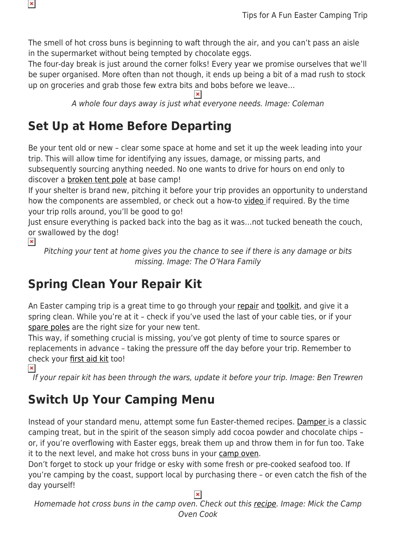The smell of hot cross buns is beginning to waft through the air, and you can't pass an aisle in the supermarket without being tempted by chocolate eggs.

The four-day break is just around the corner folks! Every year we promise ourselves that we'll be super organised. More often than not though, it ends up being a bit of a mad rush to stock up on groceries and grab those few extra bits and bobs before we leave…

A whole four days away is just what everyone needs. Image: Coleman

### **Set Up at Home Before Departing**

Be your tent old or new – clear some space at home and set it up the week leading into your trip. This will allow time for identifying any issues, damage, or missing parts, and subsequently sourcing anything needed. No one wants to drive for hours on end only to discover a [broken tent pole](https://youtu.be/EjRY90NFMa8) at base camp!

If your shelter is brand new, pitching it before your trip provides an opportunity to understand how the components are assembled, or check out a how-to [video i](https://www.youtube.com/user/SnowysOutdoors/videos)f required. By the time your trip rolls around, you'll be good to go!

Just ensure everything is packed back into the bag as it was…not tucked beneath the couch, or swallowed by the dog!

 $\pmb{\times}$ 

 $\pmb{\mathsf{x}}$ 

Pitching your tent at home gives you the chance to see if there is any damage or bits missing. Image: The O'Hara Family

## **Spring Clean Your Repair Kit**

An Easter camping trip is a great time to go through your [repair](https://www.snowys.com.au/blog/when-camping-gear-breaks-are-you-prepared/) and [toolkit](https://www.snowys.com.au/blog/building-camping-toolkit/), and give it a spring clean. While you're at it – check if you've used the last of your cable ties, or if your [spare poles](https://www.snowys.com.au/tent-accessories) are the right size for your new tent.

This way, if something crucial is missing, you've got plenty of time to source spares or replacements in advance – taking the pressure off the day before your trip. Remember to check your [first aid kit](https://www.snowys.com.au/first-aid-kits) too!<br><br>**E** 

If your repair kit has been through the wars, update it before your trip. Image: Ben Trewren

## **Switch Up Your Camping Menu**

Instead of your standard menu, attempt some fun Easter-themed recipes. [Damper](https://www.snowys.com.au/blog/how-to-make-damper-in-a-camp-oven/) is a classic camping treat, but in the spirit of the season simply add cocoa powder and chocolate chips – or, if you're overflowing with Easter eggs, break them up and throw them in for fun too. Take it to the next level, and make hot cross buns in your [camp oven](https://www.snowys.com.au/camp-ovens).

Don't forget to stock up your fridge or esky with some fresh or pre-cooked seafood too. If you're camping by the coast, support local by purchasing there – or even catch the fish of the day yourself!

 $\pmb{\times}$ 

Homemade hot cross buns in the camp oven. Check out this [recipe](https://www.thecampovencook.com.au/easter-hot-cross-buns-camp-oven/). Image: Mick the Camp Oven Cook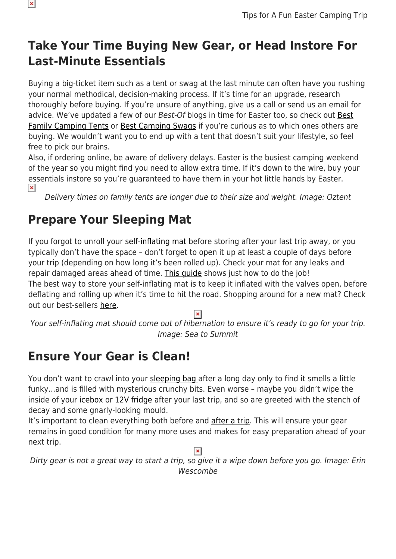# **Take Your Time Buying New Gear, or Head Instore For Last-Minute Essentials**

Buying a big-ticket item such as a tent or swag at the last minute can often have you rushing your normal methodical, decision-making process. If it's time for an upgrade, research thoroughly before buying. If you're unsure of anything, give us a call or send us an email for advice. We've updated a few of our [Best](https://www.snowys.com.au/blog/best-family-camping-tents/)-Of blogs in time for Easter too, so check out Best [Family Camping Tents](https://www.snowys.com.au/blog/best-family-camping-tents/) or [Best Camping Swags](https://www.snowys.com.au/blog/best-swags-for-camping/) if you're curious as to which ones others are buying. We wouldn't want you to end up with a tent that doesn't suit your lifestyle, so feel free to pick our brains.

Also, if ordering online, be aware of delivery delays. Easter is the busiest camping weekend of the year so you might find you need to allow extra time. If it's down to the wire, buy your essentials instore so you're guaranteed to have them in your hot little hands by Easter.  $\pmb{\times}$ 

Delivery times on family tents are longer due to their size and weight. Image: Oztent

## **Prepare Your Sleeping Mat**

If you forgot to unroll your [self-inflating mat](https://www.snowys.com.au/camp-sleeping-mats) before storing after your last trip away, or you typically don't have the space – don't forget to open it up at least a couple of days before your trip (depending on how long it's been rolled up). Check your mat for any leaks and repair damaged areas ahead of time. [This guide](https://www.snowys.com.au/blog/how-to-repair-an-air-mattress/) shows just how to do the job! The best way to store your self-inflating mat is to keep it inflated with the valves open, before deflating and rolling up when it's time to hit the road. Shopping around for a new mat? Check out our best-sellers [here](https://www.snowys.com.au/blog/best-camping-mattresses/).

 $\pmb{\times}$ 

Your self-inflating mat should come out of hibernation to ensure it's ready to go for your trip. Image: Sea to Summit

#### **Ensure Your Gear is Clean!**

You don't want to crawl into your [sleeping bag](https://www.snowys.com.au/sleeping-bags) after a long day only to find it smells a little funky…and is filled with mysterious crunchy bits. Even worse – maybe you didn't wipe the inside of your [icebox](https://www.snowys.com.au/camping-fridges-iceboxes) or [12V fridge](https://www.snowys.com.au/portable-fridges) after your last trip, and so are greeted with the stench of decay and some gnarly-looking mould.

It's important to clean everything both before and [after a trip](https://www.snowys.com.au/blog/5-tips-for-packing-down-your-campsite/). This will ensure your gear remains in good condition for many more uses and makes for easy preparation ahead of your next trip.

 $\pmb{\times}$ 

Dirty gear is not a great way to start a trip, so give it a wipe down before you go. Image: Erin Wescombe